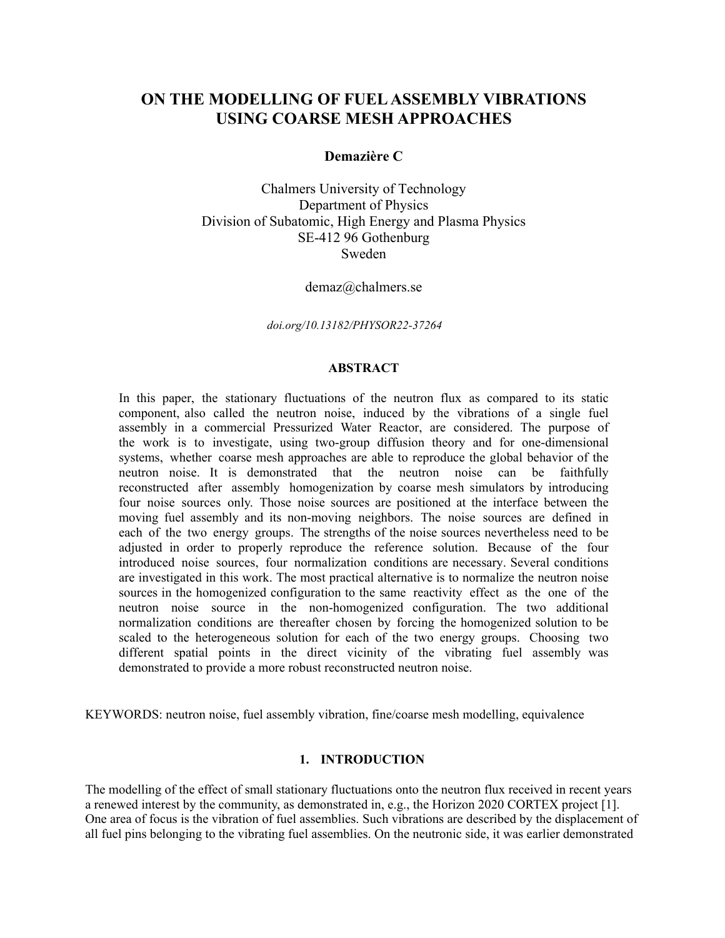# **ON THE MODELLING OF FUELASSEMBLY VIBRATIONS USING COARSE MESH APPROACHES**

## **Demazière C**

Chalmers University of Technology Department of Physics Division of Subatomic, High Energy and Plasma Physics SE-412 96 Gothenburg Sweden

demaz@chalmers.se

*doi.org/10.13182/PHYSOR22-37264*

### **ABSTRACT**

In this paper, the stationary fluctuations of the neutron flux as compared to its static component, also called the neutron noise, induced by the vibrations of a single fuel assembly in a commercial Pressurized Water Reactor, are considered. The purpose of the work is to investigate, using two-group diffusion theory and for one-dimensional systems, whether coarse mesh approaches are able to reproduce the global behavior of the neutron noise. It is demonstrated that the neutron noise can be faithfully reconstructed after assembly homogenization by coarse mesh simulators by introducing four noise sources only. Those noise sources are positioned at the interface between the moving fuel assembly and its non-moving neighbors. The noise sources are defined in each of the two energy groups. The strengths of the noise sources nevertheless need to be adjusted in order to properly reproduce the reference solution. Because of the four introduced noise sources, four normalization conditions are necessary. Several conditions are investigated in this work. The most practical alternative is to normalize the neutron noise sources in the homogenized configuration to the same reactivity effect as the one of the neutron noise source in the non-homogenized configuration. The two additional normalization conditions are thereafter chosen by forcing the homogenized solution to be scaled to the heterogeneous solution for each of the two energy groups. Choosing two different spatial points in the direct vicinity of the vibrating fuel assembly was demonstrated to provide a more robust reconstructed neutron noise.

KEYWORDS: neutron noise, fuel assembly vibration, fine/coarse mesh modelling, equivalence

### **1. INTRODUCTION**

The modelling of the effect of small stationary fluctuations onto the neutron flux received in recent years a renewed interest by the community, as demonstrated in, e.g., the Horizon 2020 CORTEX project [\[1\]](#page-8-0). One area of focus is the vibration of fuel assemblies. Such vibrations are described by the displacement of all fuel pins belonging to the vibrating fuel assemblies. On the neutronic side, it was earlier demonstrated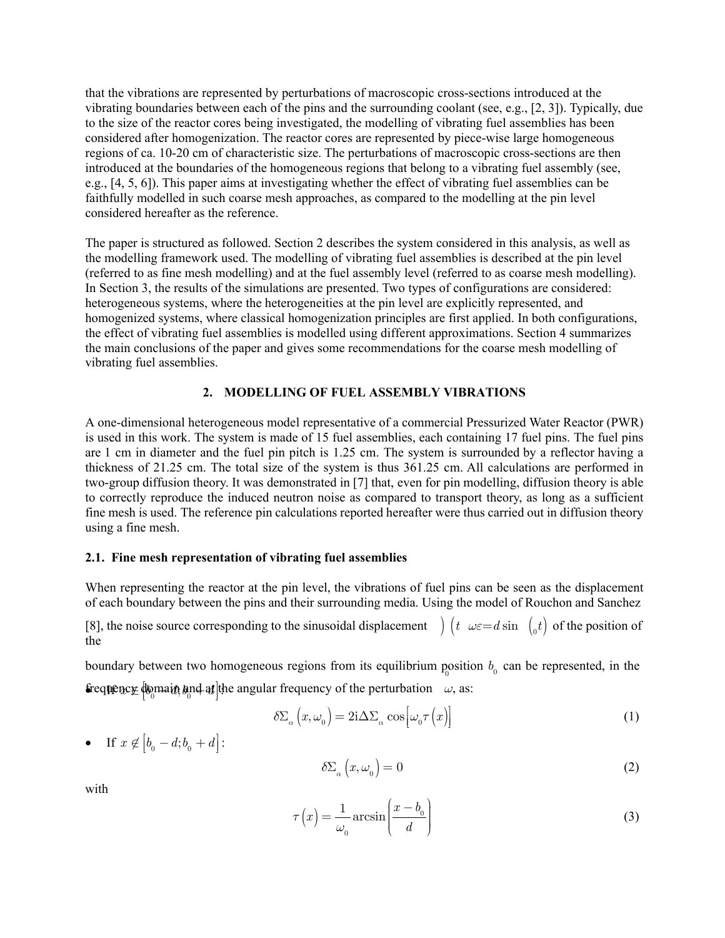that the vibrations are represented by perturbations of macroscopic cross-sections introduced at the vibrating boundaries between each of the pins and the surrounding coolant (see, e.g., [\[2,](#page-8-1) [3\]](#page-8-2)). Typically, due to the size of the reactor cores being investigated, the modelling of vibrating fuel assemblies has been considered after homogenization. The reactor cores are represented by piece-wise large homogeneous regions of ca. 10-20 cm of characteristic size. The perturbations of macroscopic cross-sections are then introduced at the boundaries of the homogeneous regions that belong to a vibrating fuel assembly (see, e.g., [\[4,](#page-8-3) [5,](#page-8-4) [6\]](#page-8-5)). This paper aims at investigating whether the effect of vibrating fuel assemblies can be faithfully modelled in such coarse mesh approaches, as compared to the modelling at the pin level considered hereafter as the reference.

The paper is structured as followed. Section [2](#page-1-0) describes the system considered in this analysis, as well as the modelling framework used. The modelling of vibrating fuel assemblies is described at the pin level (referred to as fine mesh modelling) and at the fuel assembly level (referred to as coarse mesh modelling). In Section [3,](#page-3-0) the results of the simulations are presented. Two types of configurations are considered: heterogeneous systems, where the heterogeneities at the pin level are explicitly represented, and homogenized systems, where classical homogenization principles are first applied. In both configurations, the effect of vibrating fuel assemblies is modelled using different approximations. Section [4](#page-7-0) summarizes the main conclusions of the paper and gives some recommendations for the coarse mesh modelling of vibrating fuel assemblies.

# **2. MODELLING OF FUEL ASSEMBLY VIBRATIONS**

<span id="page-1-0"></span>A one-dimensional heterogeneous model representative of a commercial Pressurized Water Reactor (PWR) is used in this work. The system is made of 15 fuel assemblies, each containing 17 fuel pins. The fuel pins are 1 cm in diameter and the fuel pin pitch is 1.25 cm. The system is surrounded by a reflector having a thickness of 21.25 cm. The total size of the system is thus 361.25 cm. All calculations are performed in two-group diffusion theory. It was demonstrated in [\[7\]](#page-8-6) that, even for pin modelling, diffusion theory is able to correctly reproduce the induced neutron noise as compared to transport theory, as long as a sufficient fine mesh is used. The reference pin calculations reported hereafter were thus carried out in diffusion theory using a fine mesh.

# **2.1. Fine mesh representation of vibrating fuel assemblies**

When representing the reactor at the pin level, the vibrations of fuel pins can be seen as the displacement of each boundary between the pins and their surrounding media. Using the model of Rouchon and Sanchez

[\[8\],](#page-8-7) the noise source corresponding to the sinusoidal displacement  $\int (t \omega \varepsilon = d \sin (\int_0^t t) )$  of the position of the

boundary between two homogeneous regions from its equilibrium position  $b_0$  can be represented, in the **Soluration**  $\omega$ , as:  $\omega$  and  $\omega$  at the angular frequency of the perturbation  $\omega$ , as:

$$
\delta \Sigma_{\alpha} (x, \omega_0) = 2i \Delta \Sigma_{\alpha} \cos [\omega_0 \tau (x)] \tag{1}
$$

• If 
$$
x \notin [b_0 - d; b_0 + d]
$$
:  

$$
\delta \Sigma_{\alpha}(x, \omega_0) = 0
$$
 (2)

with

$$
\tau\left(x\right) = \frac{1}{\omega_0} \arcsin\left(\frac{x - b_0}{d}\right) \tag{3}
$$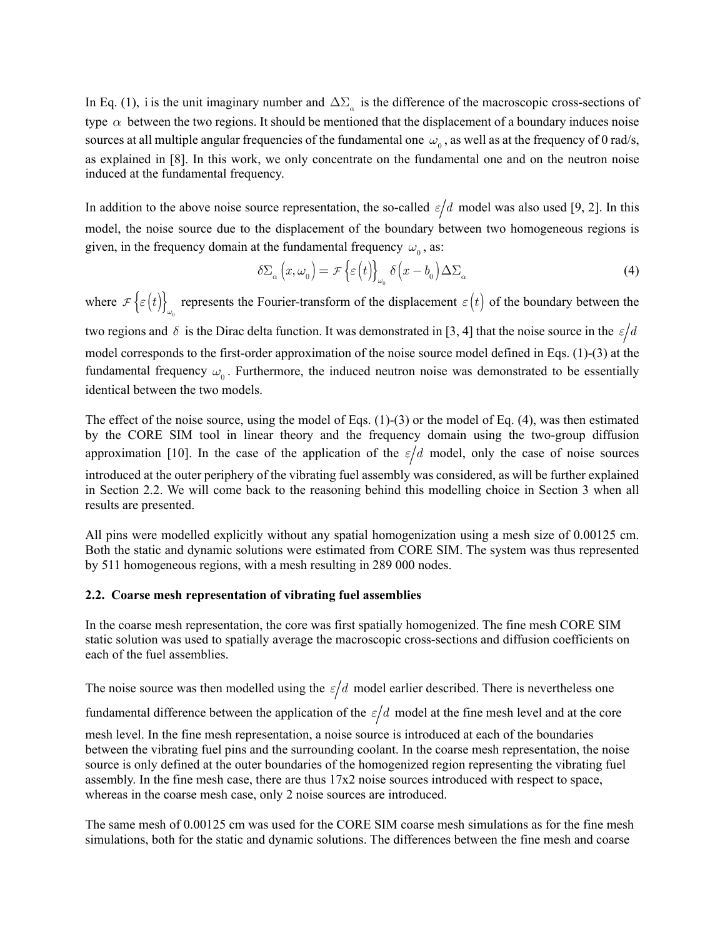In Eq. (1), i is the unit imaginary number and  $\Delta\Sigma_{\alpha}$  is the difference of the macroscopic cross-sections of type  $\alpha$  between the two regions. It should be mentioned that the displacement of a boundary induces noise sources at all multiple angular frequencies of the fundamental one  $\omega_0$ , as well as at the frequency of 0 rad/s, as explained in [\[8\]](#page-8-7). In this work, we only concentrate on the fundamental one and on the neutron noise induced at the fundamental frequency.

In addition to the above noise source representation, the so-called  $\varepsilon/d$  model was also used [\[9,](#page-8-8) [2\]](#page-8-1). In this model, the noise source due to the displacement of the boundary between two homogeneous regions is given, in the frequency domain at the fundamental frequency  $\omega_0$ , as:

$$
\delta \Sigma_{\alpha} (x, \omega_0) = \mathcal{F} \left\{ \varepsilon (t) \right\}_{\omega_0} \delta (x - b_0) \Delta \Sigma_{\alpha} \tag{4}
$$

where  $\mathcal{F}\{\varepsilon(t)\}_{\omega_0}$  represents the Fourier-transform of the displacement  $\varepsilon(t)$  of the boundary between the two regions and  $\delta$  is the Dirac delta function. It was demonstrated in [\[3,](#page-8-2) [4\]](#page-8-3) that the noise source in the  $\varepsilon/d$ model corresponds to the first-order approximation of the noise source model defined in Eqs. (1)-(3) at the fundamental frequency  $\omega_0$ . Furthermore, the induced neutron noise was demonstrated to be essentially identical between the two models.

The effect of the noise source, using the model of Eqs.  $(1)-(3)$  or the model of Eq.  $(4)$ , was then estimated by the CORE SIM tool in linear theory and the frequency domain using the two-group diffusion approximation [\[10\]](#page-8-9). In the case of the application of the  $\varepsilon/d$  model, only the case of noise sources introduced at the outer periphery of the vibrating fuel assembly was considered, as will be further explained in Section 2.2. We will come back to the reasoning behind this modelling choice in Section [3](#page-3-0) when all results are presented.

All pins were modelled explicitly without any spatial homogenization using a mesh size of 0.00125 cm. Both the static and dynamic solutions were estimated from CORE SIM. The system was thus represented by 511 homogeneous regions, with a mesh resulting in 289 000 nodes.

### **2.2. Coarse mesh representation of vibrating fuel assemblies**

In the coarse mesh representation, the core was first spatially homogenized. The fine mesh CORE SIM static solution was used to spatially average the macroscopic cross-sections and diffusion coefficients on each of the fuel assemblies.

The noise source was then modelled using the  $\varepsilon/d$  model earlier described. There is nevertheless one

fundamental difference between the application of the  $\varepsilon/d$  model at the fine mesh level and at the core

mesh level. In the fine mesh representation, a noise source is introduced at each of the boundaries between the vibrating fuel pins and the surrounding coolant. In the coarse mesh representation, the noise source is only defined at the outer boundaries of the homogenized region representing the vibrating fuel assembly. In the fine mesh case, there are thus 17x2 noise sources introduced with respect to space, whereas in the coarse mesh case, only 2 noise sources are introduced.

The same mesh of 0.00125 cm was used for the CORE SIM coarse mesh simulations as for the fine mesh simulations, both for the static and dynamic solutions. The differences between the fine mesh and coarse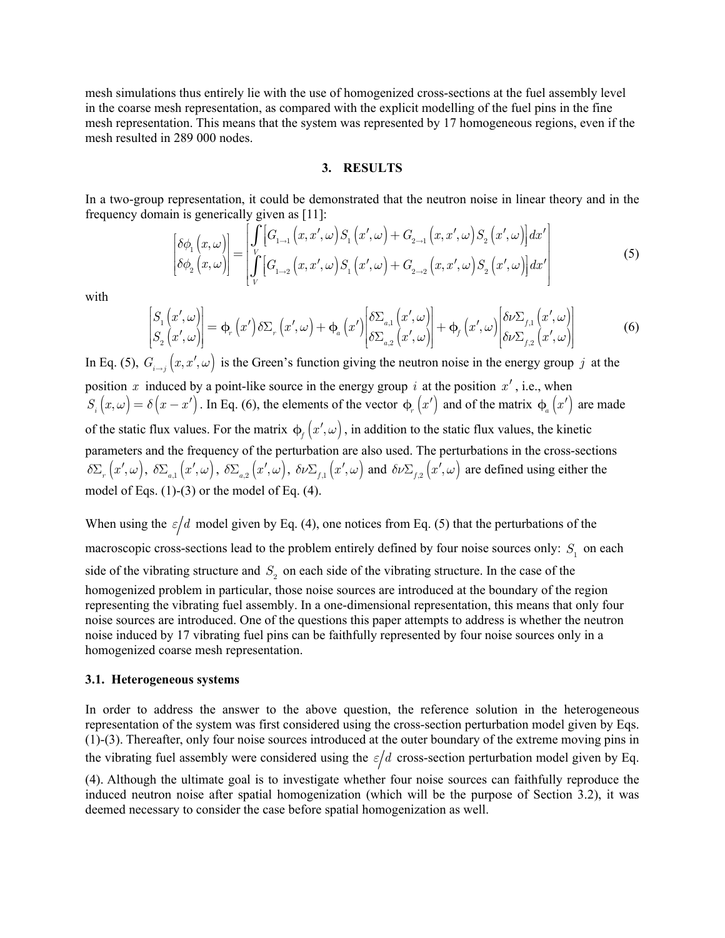mesh simulations thus entirely lie with the use of homogenized cross-sections at the fuel assembly level in the coarse mesh representation, as compared with the explicit modelling of the fuel pins in the fine mesh representation. This means that the system was represented by 17 homogeneous regions, even if the mesh resulted in 289 000 nodes.

#### **3. RESULTS**

<span id="page-3-0"></span>In a two-group representation, it could be demonstrated that the neutron noise in linear theory and in the frequency domain is generically given as [\[11\]](#page-9-0):

$$
\begin{bmatrix}\n\delta\phi_{1}(x,\omega) \\
\delta\phi_{2}(x,\omega)\n\end{bmatrix} = \begin{bmatrix}\n\int_{V} \left[G_{1\to 1}(x,x',\omega)S_{1}(x',\omega) + G_{2\to 1}(x,x',\omega)S_{2}(x',\omega)\right] dx' \\
\int_{V} \left[G_{1\to 2}(x,x',\omega)S_{1}(x',\omega) + G_{2\to 2}(x,x',\omega)S_{2}(x',\omega)\right] dx'\n\end{bmatrix}
$$
\n(5)

with

$$
\begin{bmatrix} S_1(x',\omega) \\ S_2(x',\omega) \end{bmatrix} = \Phi_r(x') \delta \Sigma_r(x',\omega) + \Phi_a(x') \begin{bmatrix} \delta \Sigma_{a,1}(x',\omega) \\ \delta \Sigma_{a,2}(x',\omega) \end{bmatrix} + \Phi_f(x',\omega) \begin{bmatrix} \delta \nu \Sigma_{f,1}(x',\omega) \\ \delta \nu \Sigma_{f,2}(x',\omega) \end{bmatrix}
$$
(6)

In Eq. (5),  $G_{i\to i}(x, x', \omega)$  is the Green's function giving the neutron noise in the energy group *j* at the position  $x$  induced by a point-like source in the energy group  $i$  at the position  $x'$ , i.e., when  $S_i(x, \omega) = \delta(x - x')$ . In Eq. (6), the elements of the vector  $\phi_r(x')$  and of the matrix  $\phi_a(x')$  are made of the static flux values. For the matrix  $\phi_t(x', \omega)$ , in addition to the static flux values, the kinetic parameters and the frequency of the perturbation are also used. The perturbations in the cross-sections  $\delta \Sigma_r(x',\omega)$ ,  $\delta \Sigma_{a,1}(x',\omega)$ ,  $\delta \Sigma_{a,2}(x',\omega)$ ,  $\delta \nu \Sigma_{f,1}(x',\omega)$  and  $\delta \nu \Sigma_{f,2}(x',\omega)$  are defined using either the model of Eqs.  $(1)-(3)$  or the model of Eq.  $(4)$ .

When using the  $\varepsilon/d$  model given by Eq. (4), one notices from Eq. (5) that the perturbations of the macroscopic cross-sections lead to the problem entirely defined by four noise sources only:  $S<sub>1</sub>$  on each side of the vibrating structure and  $S<sub>2</sub>$  on each side of the vibrating structure. In the case of the homogenized problem in particular, those noise sources are introduced at the boundary of the region representing the vibrating fuel assembly. In a one-dimensional representation, this means that only four noise sources are introduced. One of the questions this paper attempts to address is whether the neutron noise induced by 17 vibrating fuel pins can be faithfully represented by four noise sources only in a homogenized coarse mesh representation.

#### **3.1. Heterogeneous systems**

In order to address the answer to the above question, the reference solution in the heterogeneous representation of the system was first considered using the cross-section perturbation model given by Eqs. (1)-(3). Thereafter, only four noise sources introduced at the outer boundary of the extreme moving pins in the vibrating fuel assembly were considered using the  $\varepsilon/d$  cross-section perturbation model given by Eq. (4). Although the ultimate goal is to investigate whether four noise sources can faithfully reproduce the induced neutron noise after spatial homogenization (which will be the purpose of Section 3.2), it was deemed necessary to consider the case before spatial homogenization as well.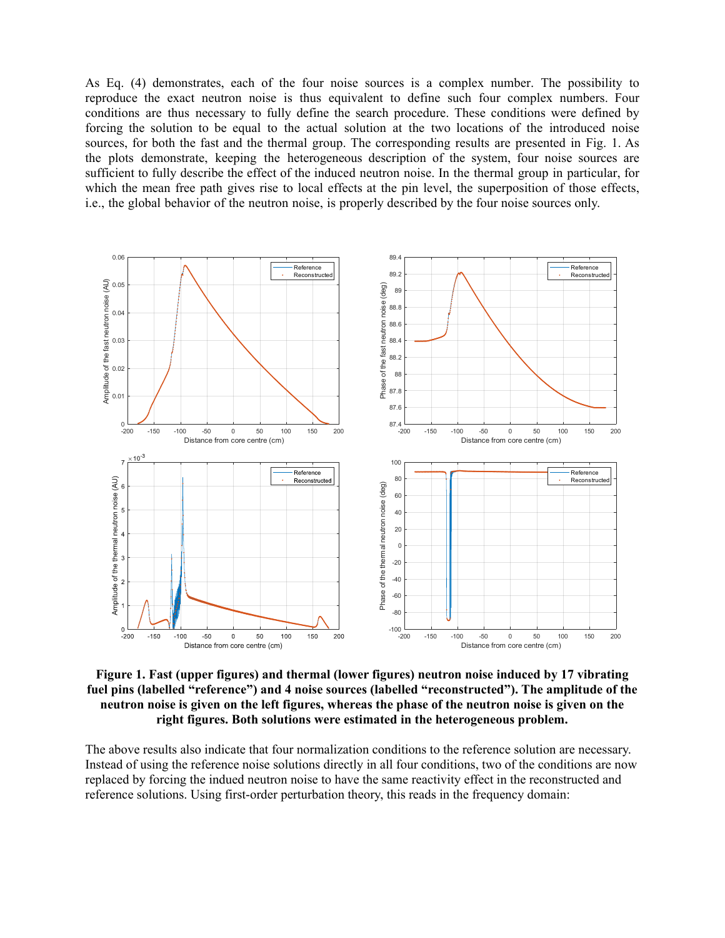As Eq. (4) demonstrates, each of the four noise sources is a complex number. The possibility to reproduce the exact neutron noise is thus equivalent to define such four complex numbers. Four conditions are thus necessary to fully define the search procedure. These conditions were defined by forcing the solution to be equal to the actual solution at the two locations of the introduced noise sources, for both the fast and the thermal group. The corresponding results are presented in Fig. 1. As the plots demonstrate, keeping the heterogeneous description of the system, four noise sources are sufficient to fully describe the effect of the induced neutron noise. In the thermal group in particular, for which the mean free path gives rise to local effects at the pin level, the superposition of those effects, i.e., the global behavior of the neutron noise, is properly described by the four noise sources only.



**Figure 1. Fast (upper figures) and thermal (lower figures) neutron noise induced by 17 vibrating fuel pins (labelled "reference") and 4 noise sources (labelled "reconstructed"). The amplitude of the neutron noise is given on the left figures, whereas the phase of the neutron noise is given on the right figures. Both solutions were estimated in the heterogeneous problem.**

The above results also indicate that four normalization conditions to the reference solution are necessary. Instead of using the reference noise solutions directly in all four conditions, two of the conditions are now replaced by forcing the indued neutron noise to have the same reactivity effect in the reconstructed and reference solutions. Using first-order perturbation theory, this reads in the frequency domain: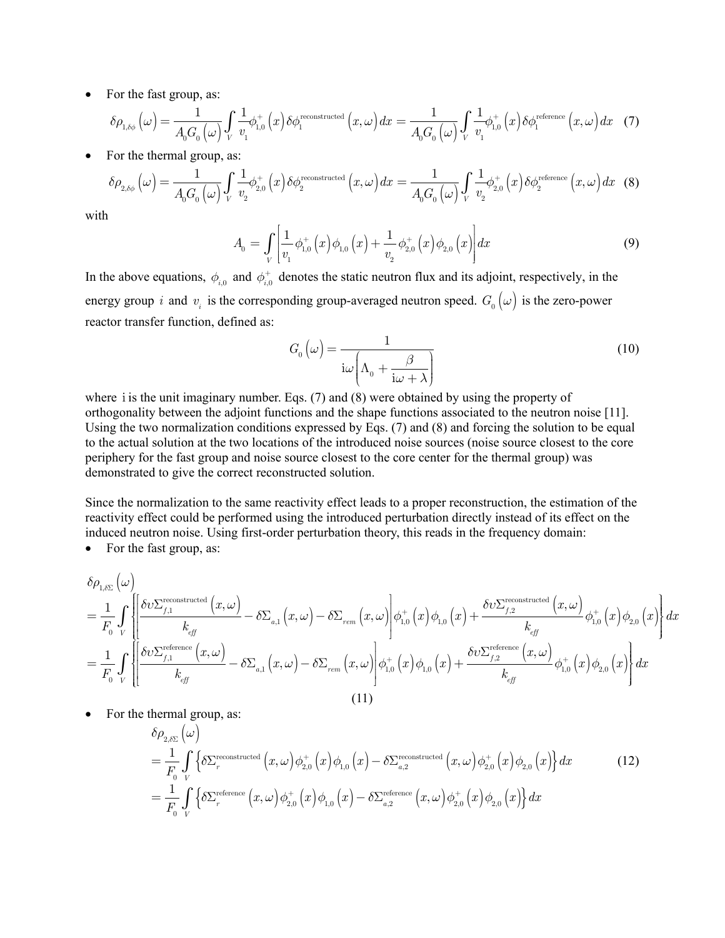• For the fast group, as:

$$
\delta \rho_{1,\delta\phi}(\omega) = \frac{1}{A_0 G_0(\omega)} \int_V \frac{1}{v_1} \phi_{1,0}^+(\omega) \delta \phi_1^{\text{reconstructed}}(x,\omega) dx = \frac{1}{A_0 G_0(\omega)} \int_V \frac{1}{v_1} \phi_{1,0}^+(\omega) \delta \phi_1^{\text{reference}}(x,\omega) dx \tag{7}
$$

• For the thermal group, as:

$$
\delta\rho_{2,\delta\phi}\left(\omega\right) = \frac{1}{A_0 G_0\left(\omega\right)} \int_V \frac{1}{v_2} \phi_{2,0}^+\left(x\right) \delta\phi_2^{\text{reconstructed}}\left(x,\omega\right) dx = \frac{1}{A_0 G_0\left(\omega\right)} \int_V \frac{1}{v_2} \phi_{2,0}^+\left(x\right) \delta\phi_2^{\text{reference}}\left(x,\omega\right) dx \tag{8}
$$

with

$$
A_0 = \int\limits_V \left[ \frac{1}{v_1} \phi_{1,0}^+ \left( x \right) \phi_{1,0} \left( x \right) + \frac{1}{v_2} \phi_{2,0}^+ \left( x \right) \phi_{2,0} \left( x \right) \right] dx \tag{9}
$$

In the above equations,  $\phi_{i,0}$  and  $\phi_{i,0}^+$  denotes the static neutron flux and its adjoint, respectively, in the energy group *i* and  $v_i$  is the corresponding group-averaged neutron speed.  $G_0(\omega)$  is the zero-power reactor transfer function, defined as:

$$
G_0(\omega) = \frac{1}{i\omega \left(\Lambda_0 + \frac{\beta}{i\omega + \lambda}\right)}\tag{10}
$$

where i is the unit imaginary number. Eqs. (7) and (8) were obtained by using the property of orthogonality between the adjoint functions and the shape functions associated to the neutron noise [\[11\]](#page-9-0). Using the two normalization conditions expressed by Eqs. (7) and (8) and forcing the solution to be equal to the actual solution at the two locations of the introduced noise sources (noise source closest to the core periphery for the fast group and noise source closest to the core center for the thermal group) was demonstrated to give the correct reconstructed solution.

Since the normalization to the same reactivity effect leads to a proper reconstruction, the estimation of the reactivity effect could be performed using the introduced perturbation directly instead of its effect on the induced neutron noise. Using first-order perturbation theory, this reads in the frequency domain:

• For the fast group, as:

$$
\delta \rho_{1,\delta\Sigma}(\omega)
$$
\n
$$
= \frac{1}{F_0} \int_{V} \left\{ \left[ \frac{\delta v \Sigma_{f,1}^{\text{reconstructed}}(x,\omega)}{k_{\text{eff}}} - \delta \Sigma_{a,1}(x,\omega) - \delta \Sigma_{\text{rem}}(x,\omega) \right] \phi_{1,0}^+(x) \phi_{1,0}(x) + \frac{\delta v \Sigma_{f,2}^{\text{reconstructed}}(x,\omega)}{k_{\text{eff}}} \phi_{1,0}^+(x) \phi_{2,0}(x) \right\} dx
$$
\n
$$
= \frac{1}{F_0} \int_{V} \left\{ \left[ \frac{\delta v \Sigma_{f,1}^{\text{reference}}(x,\omega)}{k_{\text{eff}}} - \delta \Sigma_{a,1}(x,\omega) - \delta \Sigma_{\text{rem}}(x,\omega) \right] \phi_{1,0}^+(x) \phi_{1,0}(x) + \frac{\delta v \Sigma_{f,2}^{\text{reference}}(x,\omega)}{k_{\text{eff}}} \phi_{1,0}^+(x) \phi_{2,0}(x) \right\} dx
$$
\n(11)

• For the thermal group, as:

$$
\delta \rho_{2,\delta \Sigma} (\omega)
$$
\n
$$
= \frac{1}{F_0} \int_{V} \left\{ \delta \Sigma_r^{\text{reconstructed}}(x,\omega) \phi_{2,0}^+(x) \phi_{1,0}(x) - \delta \Sigma_{a,2}^{\text{reconstructed}}(x,\omega) \phi_{2,0}^+(x) \phi_{2,0}(x) \right\} dx
$$
\n
$$
= \frac{1}{F_0} \int_{V} \left\{ \delta \Sigma_r^{\text{reference}}(x,\omega) \phi_{2,0}^+(x) \phi_{1,0}(x) - \delta \Sigma_{a,2}^{\text{reference}}(x,\omega) \phi_{2,0}^+(x) \phi_{2,0}(x) \right\} dx
$$
\n
$$
(12)
$$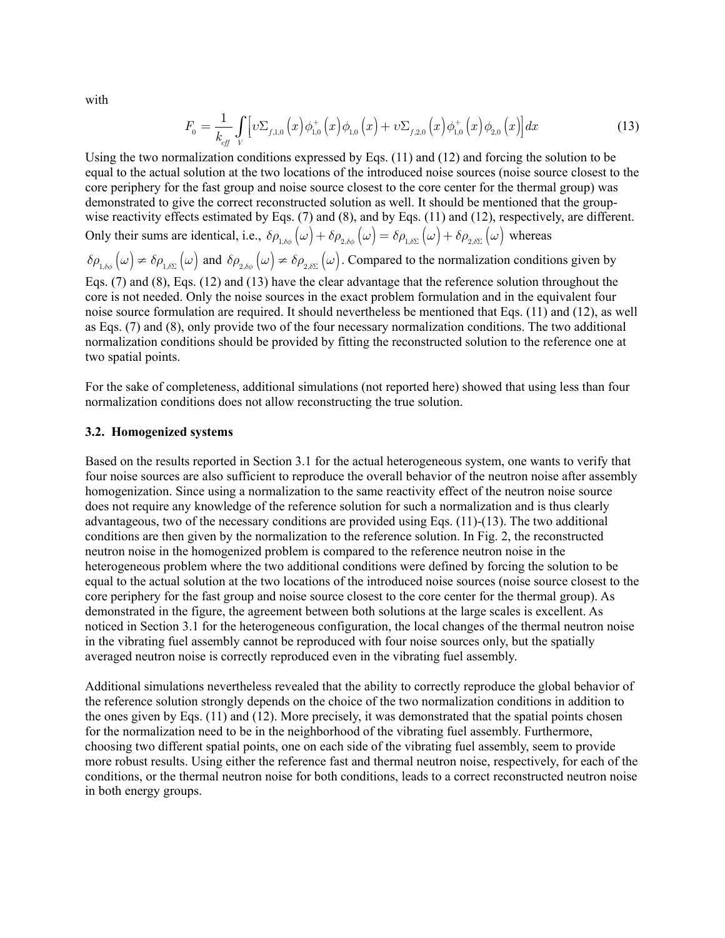with

$$
F_0 = \frac{1}{k_{\text{eff}}} \int_{V} \left[ \nu \Sigma_{f,1,0} \left( x \right) \phi_{1,0}^+ \left( x \right) \phi_{1,0} \left( x \right) + \nu \Sigma_{f,2,0} \left( x \right) \phi_{1,0}^+ \left( x \right) \phi_{2,0} \left( x \right) \right] dx \tag{13}
$$

Using the two normalization conditions expressed by Eqs. (11) and (12) and forcing the solution to be equal to the actual solution at the two locations of the introduced noise sources (noise source closest to the core periphery for the fast group and noise source closest to the core center for the thermal group) was demonstrated to give the correct reconstructed solution as well. It should be mentioned that the groupwise reactivity effects estimated by Eqs. (7) and (8), and by Eqs. (11) and (12), respectively, are different. Only their sums are identical, i.e.,  $\delta \rho_{1,\delta \phi}(\omega) + \delta \rho_{2,\delta \phi}(\omega) = \delta \rho_{1,\delta \Sigma}(\omega) + \delta \rho_{2,\delta \Sigma}(\omega)$  whereas

$$
\delta\rho_{1,\delta\phi}\left(\omega\right) \neq \delta\rho_{1,\delta\Sigma}\left(\omega\right) \text{ and } \delta\rho_{2,\delta\phi}\left(\omega\right) \neq \delta\rho_{2,\delta\Sigma}\left(\omega\right). \text{ Compared to the normalization conditions given by}
$$

Eqs. (7) and (8), Eqs. (12) and (13) have the clear advantage that the reference solution throughout the core is not needed. Only the noise sources in the exact problem formulation and in the equivalent four noise source formulation are required. It should nevertheless be mentioned that Eqs. (11) and (12), as well as Eqs. (7) and (8), only provide two of the four necessary normalization conditions. The two additional normalization conditions should be provided by fitting the reconstructed solution to the reference one at two spatial points.

For the sake of completeness, additional simulations (not reported here) showed that using less than four normalization conditions does not allow reconstructing the true solution.

### **3.2. Homogenized systems**

Based on the results reported in Section 3.1 for the actual heterogeneous system, one wants to verify that four noise sources are also sufficient to reproduce the overall behavior of the neutron noise after assembly homogenization. Since using a normalization to the same reactivity effect of the neutron noise source does not require any knowledge of the reference solution for such a normalization and is thus clearly advantageous, two of the necessary conditions are provided using Eqs. (11)-(13). The two additional conditions are then given by the normalization to the reference solution. In Fig. 2, the reconstructed neutron noise in the homogenized problem is compared to the reference neutron noise in the heterogeneous problem where the two additional conditions were defined by forcing the solution to be equal to the actual solution at the two locations of the introduced noise sources (noise source closest to the core periphery for the fast group and noise source closest to the core center for the thermal group). As demonstrated in the figure, the agreement between both solutions at the large scales is excellent. As noticed in Section 3.1 for the heterogeneous configuration, the local changes of the thermal neutron noise in the vibrating fuel assembly cannot be reproduced with four noise sources only, but the spatially averaged neutron noise is correctly reproduced even in the vibrating fuel assembly.

Additional simulations nevertheless revealed that the ability to correctly reproduce the global behavior of the reference solution strongly depends on the choice of the two normalization conditions in addition to the ones given by Eqs. (11) and (12). More precisely, it was demonstrated that the spatial points chosen for the normalization need to be in the neighborhood of the vibrating fuel assembly. Furthermore, choosing two different spatial points, one on each side of the vibrating fuel assembly, seem to provide more robust results. Using either the reference fast and thermal neutron noise, respectively, for each of the conditions, or the thermal neutron noise for both conditions, leads to a correct reconstructed neutron noise in both energy groups.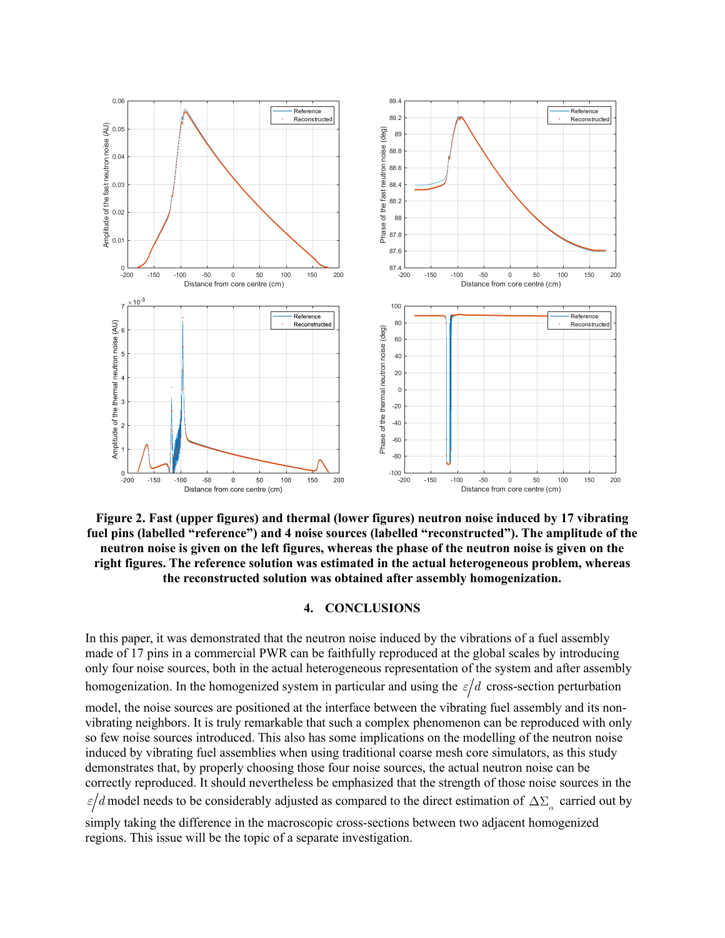

**Figure 2. Fast (upper figures) and thermal (lower figures) neutron noise induced by 17 vibrating fuel pins (labelled "reference") and 4 noise sources (labelled "reconstructed"). The amplitude of the neutron noise is given on the left figures, whereas the phase of the neutron noise is given on the right figures. The reference solution was estimated in the actual heterogeneous problem, whereas the reconstructed solution was obtained after assembly homogenization.**

# **4. CONCLUSIONS**

<span id="page-7-0"></span>In this paper, it was demonstrated that the neutron noise induced by the vibrations of a fuel assembly made of 17 pins in a commercial PWR can be faithfully reproduced at the global scales by introducing only four noise sources, both in the actual heterogeneous representation of the system and after assembly homogenization. In the homogenized system in particular and using the  $\varepsilon/d$  cross-section perturbation

model, the noise sources are positioned at the interface between the vibrating fuel assembly and its nonvibrating neighbors. It is truly remarkable that such a complex phenomenon can be reproduced with only so few noise sources introduced. This also has some implications on the modelling of the neutron noise induced by vibrating fuel assemblies when using traditional coarse mesh core simulators, as this study demonstrates that, by properly choosing those four noise sources, the actual neutron noise can be correctly reproduced. It should nevertheless be emphasized that the strength of those noise sources in the  $\varepsilon/d$  model needs to be considerably adjusted as compared to the direct estimation of  $\Delta\Sigma$ <sub>c</sub> carried out by simply taking the difference in the macroscopic cross-sections between two adjacent homogenized regions. This issue will be the topic of a separate investigation.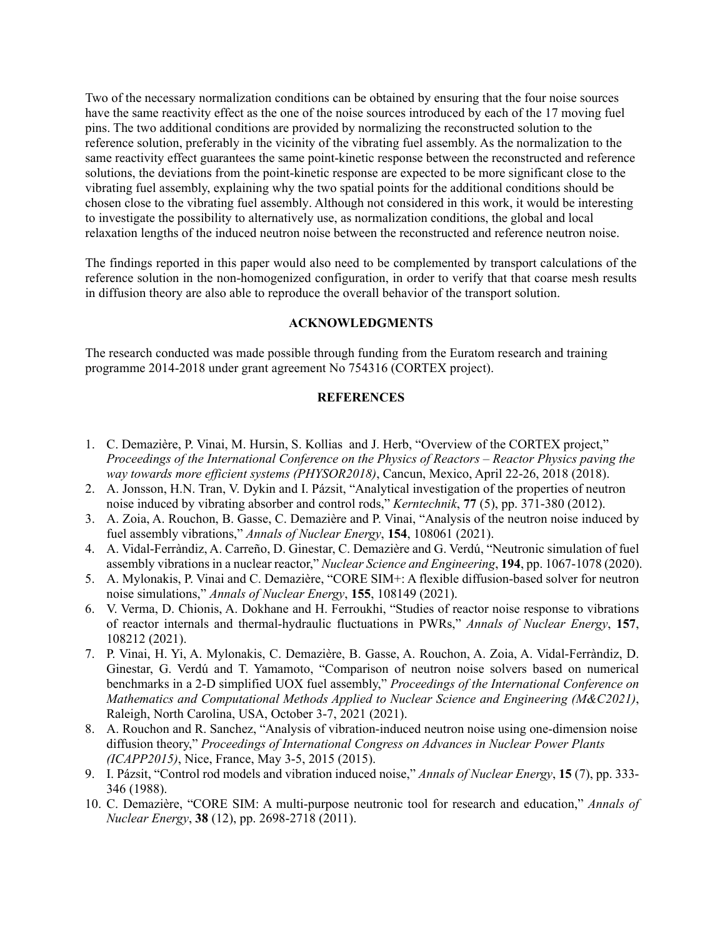Two of the necessary normalization conditions can be obtained by ensuring that the four noise sources have the same reactivity effect as the one of the noise sources introduced by each of the 17 moving fuel pins. The two additional conditions are provided by normalizing the reconstructed solution to the reference solution, preferably in the vicinity of the vibrating fuel assembly. As the normalization to the same reactivity effect guarantees the same point-kinetic response between the reconstructed and reference solutions, the deviations from the point-kinetic response are expected to be more significant close to the vibrating fuel assembly, explaining why the two spatial points for the additional conditions should be chosen close to the vibrating fuel assembly. Although not considered in this work, it would be interesting to investigate the possibility to alternatively use, as normalization conditions, the global and local relaxation lengths of the induced neutron noise between the reconstructed and reference neutron noise.

The findings reported in this paper would also need to be complemented by transport calculations of the reference solution in the non-homogenized configuration, in order to verify that that coarse mesh results in diffusion theory are also able to reproduce the overall behavior of the transport solution.

### **ACKNOWLEDGMENTS**

The research conducted was made possible through funding from the Euratom research and training programme 2014-2018 under grant agreement No 754316 (CORTEX project).

# **REFERENCES**

- <span id="page-8-0"></span>1. C. Demazière, P. Vinai, M. Hursin, S. Kollias and J. Herb, "Overview of the CORTEX project," *Proceedings of the International Conference on the Physics of Reactors – Reactor Physics paving the way towards more efficient systems (PHYSOR2018)*, Cancun, Mexico, April 22-26, 2018 (2018).
- <span id="page-8-1"></span>2. A. Jonsson, H.N. Tran, V. Dykin and I. Pázsit, "Analytical investigation of the properties of neutron noise induced by vibrating absorber and control rods," *Kerntechnik*, **77** (5), pp. 371-380 (2012).
- <span id="page-8-2"></span>3. A. Zoia, A. Rouchon, B. Gasse, C. Demazière and P. Vinai, "Analysis of the neutron noise induced by fuel assembly vibrations," *Annals of Nuclear Energy*, **154**, 108061 (2021).
- <span id="page-8-3"></span>4. A. Vidal-Ferràndiz, A. Carreño, D. Ginestar, C. Demazière and G. Verdú, "Neutronic simulation of fuel assembly vibrations in a nuclear reactor," *Nuclear Science and Engineering*, **194**, pp. 1067-1078 (2020).
- <span id="page-8-4"></span>5. A. Mylonakis, P. Vinai and C. Demazière, "CORE SIM+: A flexible diffusion-based solver for neutron noise simulations," *Annals of Nuclear Energy*, **155**, 108149 (2021).
- <span id="page-8-5"></span>6. V. Verma, D. Chionis, A. Dokhane and H. Ferroukhi, "Studies of reactor noise response to vibrations of reactor internals and thermal-hydraulic fluctuations in PWRs," *Annals of Nuclear Energy*, **157**, 108212 (2021).
- <span id="page-8-6"></span>7. P. Vinai, H. Yi, A. Mylonakis, C. Demazière, B. Gasse, A. Rouchon, A. Zoia, A. Vidal-Ferràndiz, D. Ginestar, G. Verdú and T. Yamamoto, "Comparison of neutron noise solvers based on numerical benchmarks in a 2-D simplified UOX fuel assembly," *Proceedings of the International Conference on Mathematics and Computational Methods Applied to Nuclear Science and Engineering (M&C2021)*, Raleigh, North Carolina, USA, October 3-7, 2021 (2021).
- <span id="page-8-7"></span>8. A. Rouchon and R. Sanchez, "Analysis of vibration-induced neutron noise using one-dimension noise diffusion theory," *Proceedings of International Congress on Advances in Nuclear Power Plants (ICAPP2015)*, Nice, France, May 3-5, 2015 (2015).
- <span id="page-8-8"></span>9. I. Pázsit, "Control rod models and vibration induced noise," *Annals of Nuclear Energy*, **15** (7), pp. 333- 346 (1988).
- <span id="page-8-9"></span>10. C. Demazière, "CORE SIM: A multi-purpose neutronic tool for research and education," *Annals of Nuclear Energy*, **38** (12), pp. 2698-2718 (2011).